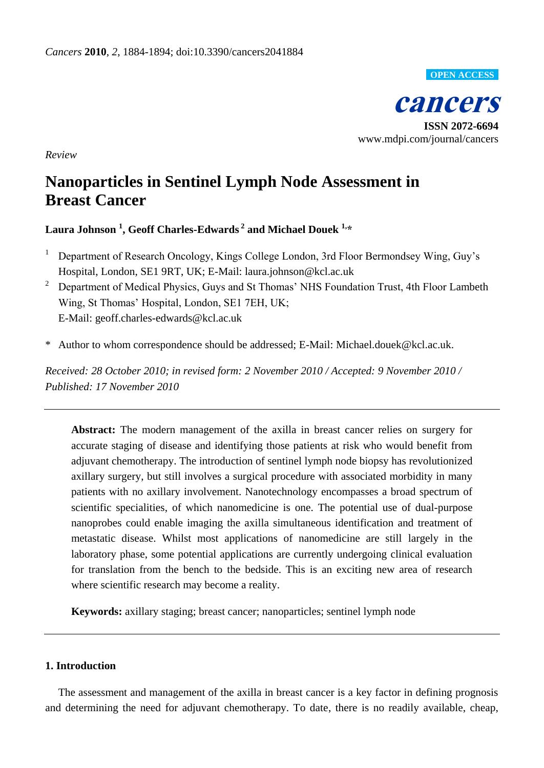**OPEN ACCESS**

**cancers**

**ISSN 2072-6694** www.mdpi.com/journal/cancers

*Review*

# **Nanoparticles in Sentinel Lymph Node Assessment in Breast Cancer**

**Laura Johnson <sup>1</sup> , Geoff Charles-Edwards <sup>2</sup> and Michael Douek 1,\***

- <sup>1</sup> Department of Research Oncology, Kings College London, 3rd Floor Bermondsey Wing, Guy's Hospital, London, SE1 9RT, UK; E-Mail: laura.johnson@kcl.ac.uk
- <sup>2</sup> Department of Medical Physics, Guys and St Thomas' NHS Foundation Trust, 4th Floor Lambeth Wing, St Thomas' Hospital, London, SE1 7EH, UK; E-Mail: geoff.charles-edwards@kcl.ac.uk
- \* Author to whom correspondence should be addressed; E-Mail: Michael.douek@kcl.ac.uk.

*Received: 28 October 2010; in revised form: 2 November 2010 / Accepted: 9 November 2010 / Published: 17 November 2010*

**Abstract:** The modern management of the axilla in breast cancer relies on surgery for accurate staging of disease and identifying those patients at risk who would benefit from adjuvant chemotherapy. The introduction of sentinel lymph node biopsy has revolutionized axillary surgery, but still involves a surgical procedure with associated morbidity in many patients with no axillary involvement. Nanotechnology encompasses a broad spectrum of scientific specialities, of which nanomedicine is one. The potential use of dual-purpose nanoprobes could enable imaging the axilla simultaneous identification and treatment of metastatic disease. Whilst most applications of nanomedicine are still largely in the laboratory phase, some potential applications are currently undergoing clinical evaluation for translation from the bench to the bedside. This is an exciting new area of research where scientific research may become a reality.

**Keywords:** axillary staging; breast cancer; nanoparticles; sentinel lymph node

# **1. Introduction**

The assessment and management of the axilla in breast cancer is a key factor in defining prognosis and determining the need for adjuvant chemotherapy. To date, there is no readily available, cheap,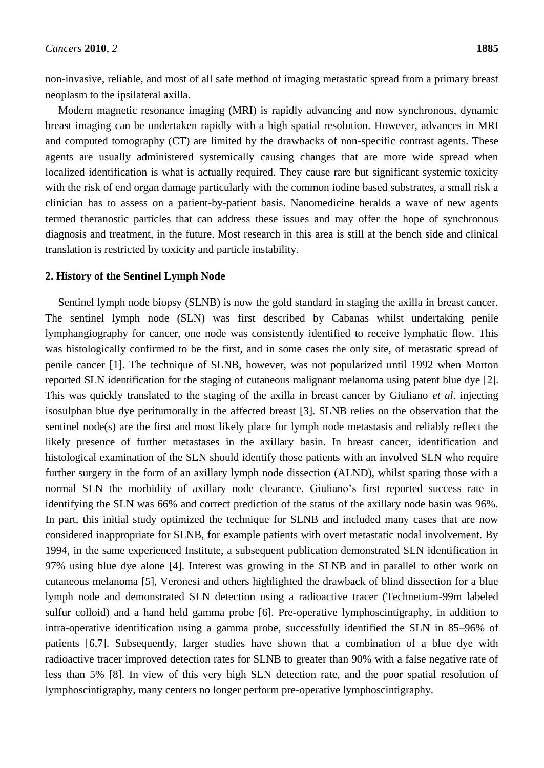non-invasive, reliable, and most of all safe method of imaging metastatic spread from a primary breast neoplasm to the ipsilateral axilla.

Modern magnetic resonance imaging (MRI) is rapidly advancing and now synchronous, dynamic breast imaging can be undertaken rapidly with a high spatial resolution. However, advances in MRI and computed tomography (CT) are limited by the drawbacks of non-specific contrast agents. These agents are usually administered systemically causing changes that are more wide spread when localized identification is what is actually required. They cause rare but significant systemic toxicity with the risk of end organ damage particularly with the common iodine based substrates, a small risk a clinician has to assess on a patient-by-patient basis. Nanomedicine heralds a wave of new agents termed theranostic particles that can address these issues and may offer the hope of synchronous diagnosis and treatment, in the future. Most research in this area is still at the bench side and clinical translation is restricted by toxicity and particle instability.

### **2. History of the Sentinel Lymph Node**

Sentinel lymph node biopsy (SLNB) is now the gold standard in staging the axilla in breast cancer. The sentinel lymph node (SLN) was first described by Cabanas whilst undertaking penile lymphangiography for cancer, one node was consistently identified to receive lymphatic flow. This was histologically confirmed to be the first, and in some cases the only site, of metastatic spread of penile cancer [1]. The technique of SLNB, however, was not popularized until 1992 when Morton reported SLN identification for the staging of cutaneous malignant melanoma using patent blue dye [2]. This was quickly translated to the staging of the axilla in breast cancer by Giuliano *et al*. injecting isosulphan blue dye peritumorally in the affected breast [3]. SLNB relies on the observation that the sentinel node(s) are the first and most likely place for lymph node metastasis and reliably reflect the likely presence of further metastases in the axillary basin. In breast cancer, identification and histological examination of the SLN should identify those patients with an involved SLN who require further surgery in the form of an axillary lymph node dissection (ALND), whilst sparing those with a normal SLN the morbidity of axillary node clearance. Giuliano's first reported success rate in identifying the SLN was 66% and correct prediction of the status of the axillary node basin was 96%. In part, this initial study optimized the technique for SLNB and included many cases that are now considered inappropriate for SLNB, for example patients with overt metastatic nodal involvement. By 1994, in the same experienced Institute, a subsequent publication demonstrated SLN identification in 97% using blue dye alone [4]. Interest was growing in the SLNB and in parallel to other work on cutaneous melanoma [5], Veronesi and others highlighted the drawback of blind dissection for a blue lymph node and demonstrated SLN detection using a radioactive tracer (Technetium-99m labeled sulfur colloid) and a hand held gamma probe [6]. Pre-operative lymphoscintigraphy, in addition to intra-operative identification using a gamma probe, successfully identified the SLN in 85–96% of patients [6,7]. Subsequently, larger studies have shown that a combination of a blue dye with radioactive tracer improved detection rates for SLNB to greater than 90% with a false negative rate of less than 5% [8]. In view of this very high SLN detection rate, and the poor spatial resolution of lymphoscintigraphy, many centers no longer perform pre-operative lymphoscintigraphy.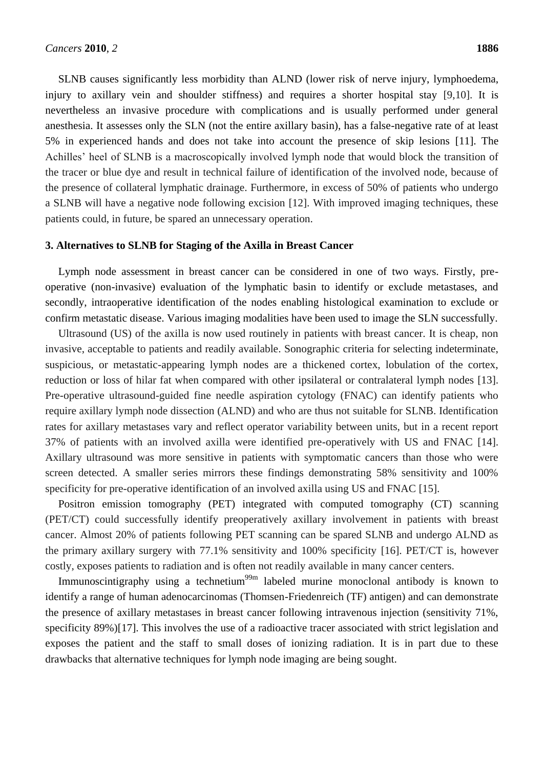SLNB causes significantly less morbidity than ALND (lower risk of nerve injury, lymphoedema, injury to axillary vein and shoulder stiffness) and requires a shorter hospital stay [9,10]. It is nevertheless an invasive procedure with complications and is usually performed under general anesthesia. It assesses only the SLN (not the entire axillary basin), has a false-negative rate of at least 5% in experienced hands and does not take into account the presence of skip lesions [11]. The Achilles' heel of SLNB is a macroscopically involved lymph node that would block the transition of the tracer or blue dye and result in technical failure of identification of the involved node, because of the presence of collateral lymphatic drainage. Furthermore, in excess of 50% of patients who undergo a SLNB will have a negative node following excision [12]. With improved imaging techniques, these patients could, in future, be spared an unnecessary operation.

### **3. Alternatives to SLNB for Staging of the Axilla in Breast Cancer**

Lymph node assessment in breast cancer can be considered in one of two ways. Firstly, preoperative (non-invasive) evaluation of the lymphatic basin to identify or exclude metastases, and secondly, intraoperative identification of the nodes enabling histological examination to exclude or confirm metastatic disease. Various imaging modalities have been used to image the SLN successfully.

Ultrasound (US) of the axilla is now used routinely in patients with breast cancer. It is cheap, non invasive, acceptable to patients and readily available. Sonographic criteria for selecting indeterminate, suspicious, or metastatic-appearing lymph nodes are a thickened cortex, lobulation of the cortex, reduction or loss of hilar fat when compared with other ipsilateral or contralateral lymph nodes [13]. Pre-operative ultrasound-guided fine needle aspiration cytology (FNAC) can identify patients who require axillary lymph node dissection (ALND) and who are thus not suitable for SLNB. Identification rates for axillary metastases vary and reflect operator variability between units, but in a recent report 37% of patients with an involved axilla were identified pre-operatively with US and FNAC [14]. Axillary ultrasound was more sensitive in patients with symptomatic cancers than those who were screen detected. A smaller series mirrors these findings demonstrating 58% sensitivity and 100% specificity for pre-operative identification of an involved axilla using US and FNAC [15].

Positron emission tomography (PET) integrated with computed tomography (CT) scanning (PET/CT) could successfully identify preoperatively axillary involvement in patients with breast cancer. Almost 20% of patients following PET scanning can be spared SLNB and undergo ALND as the primary axillary surgery with 77.1% sensitivity and 100% specificity [16]. PET/CT is, however costly, exposes patients to radiation and is often not readily available in many cancer centers.

Immunoscintigraphy using a technetium<sup>99m</sup> labeled murine monoclonal antibody is known to identify a range of human adenocarcinomas (Thomsen-Friedenreich (TF) antigen) and can demonstrate the presence of axillary metastases in breast cancer following intravenous injection (sensitivity 71%, specificity 89%)[17]. This involves the use of a radioactive tracer associated with strict legislation and exposes the patient and the staff to small doses of ionizing radiation. It is in part due to these drawbacks that alternative techniques for lymph node imaging are being sought.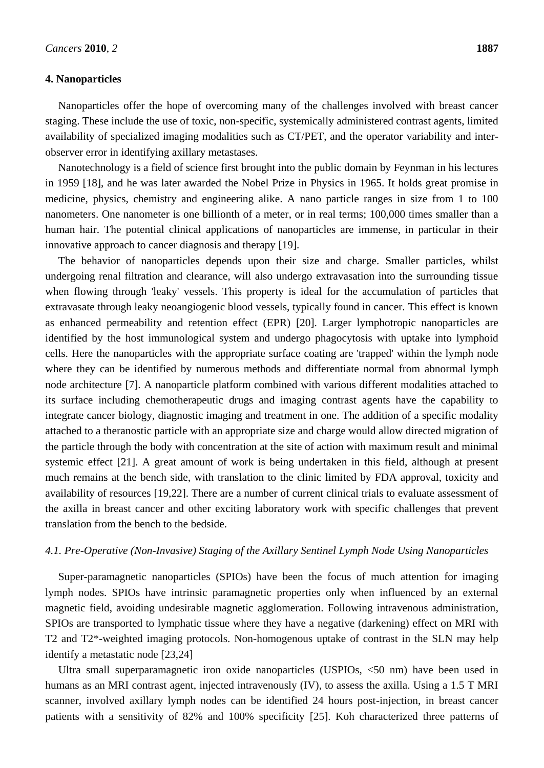### **4. Nanoparticles**

Nanoparticles offer the hope of overcoming many of the challenges involved with breast cancer staging. These include the use of toxic, non-specific, systemically administered contrast agents, limited availability of specialized imaging modalities such as CT/PET, and the operator variability and interobserver error in identifying axillary metastases.

Nanotechnology is a field of science first brought into the public domain by Feynman in his lectures in 1959 [18], and he was later awarded the Nobel Prize in Physics in 1965. It holds great promise in medicine, physics, chemistry and engineering alike. A nano particle ranges in size from 1 to 100 nanometers. One nanometer is one billionth of a meter, or in real terms; 100,000 times smaller than a human hair. The potential clinical applications of nanoparticles are immense, in particular in their innovative approach to cancer diagnosis and therapy [19].

The behavior of nanoparticles depends upon their size and charge. Smaller particles, whilst undergoing renal filtration and clearance, will also undergo extravasation into the surrounding tissue when flowing through 'leaky' vessels. This property is ideal for the accumulation of particles that extravasate through leaky neoangiogenic blood vessels, typically found in cancer. This effect is known as enhanced permeability and retention effect (EPR) [20]. Larger lymphotropic nanoparticles are identified by the host immunological system and undergo phagocytosis with uptake into lymphoid cells. Here the nanoparticles with the appropriate surface coating are 'trapped' within the lymph node where they can be identified by numerous methods and differentiate normal from abnormal lymph node architecture [7]. A nanoparticle platform combined with various different modalities attached to its surface including chemotherapeutic drugs and imaging contrast agents have the capability to integrate cancer biology, diagnostic imaging and treatment in one. The addition of a specific modality attached to a theranostic particle with an appropriate size and charge would allow directed migration of the particle through the body with concentration at the site of action with maximum result and minimal systemic effect [21]. A great amount of work is being undertaken in this field, although at present much remains at the bench side, with translation to the clinic limited by FDA approval, toxicity and availability of resources [19,22]. There are a number of current clinical trials to evaluate assessment of the axilla in breast cancer and other exciting laboratory work with specific challenges that prevent translation from the bench to the bedside.

### *4.1. Pre-Operative (Non-Invasive) Staging of the Axillary Sentinel Lymph Node Using Nanoparticles*

Super-paramagnetic nanoparticles (SPIOs) have been the focus of much attention for imaging lymph nodes. SPIOs have intrinsic paramagnetic properties only when influenced by an external magnetic field, avoiding undesirable magnetic agglomeration. Following intravenous administration, SPIOs are transported to lymphatic tissue where they have a negative (darkening) effect on MRI with T2 and T2\*-weighted imaging protocols. Non-homogenous uptake of contrast in the SLN may help identify a metastatic node [23,24]

Ultra small superparamagnetic iron oxide nanoparticles (USPIOs, <50 nm) have been used in humans as an MRI contrast agent, injected intravenously (IV), to assess the axilla. Using a 1.5 T MRI scanner, involved axillary lymph nodes can be identified 24 hours post-injection, in breast cancer patients with a sensitivity of 82% and 100% specificity [25]. Koh characterized three patterns of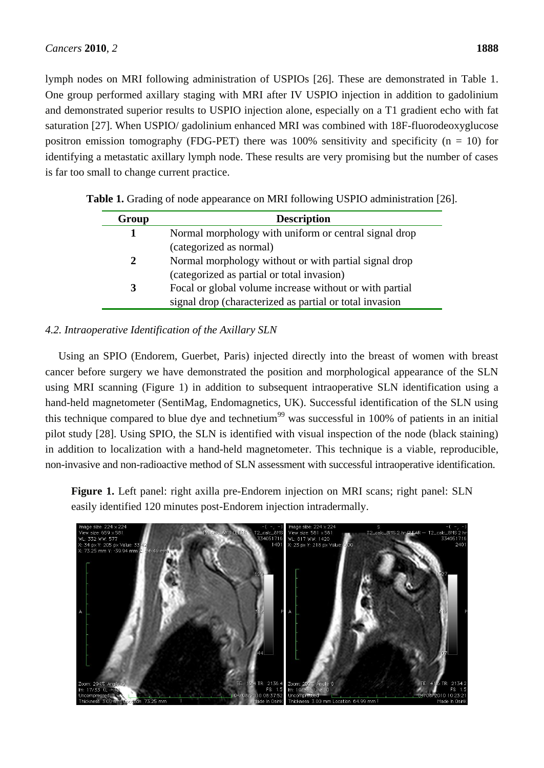lymph nodes on MRI following administration of USPIOs [26]. These are demonstrated in Table 1. One group performed axillary staging with MRI after IV USPIO injection in addition to gadolinium and demonstrated superior results to USPIO injection alone, especially on a T1 gradient echo with fat saturation [27]. When USPIO/ gadolinium enhanced MRI was combined with 18F-fluorodeoxyglucose positron emission tomography (FDG-PET) there was 100% sensitivity and specificity ( $n = 10$ ) for identifying a metastatic axillary lymph node. These results are very promising but the number of cases is far too small to change current practice.

| Group | <b>Description</b>                                      |
|-------|---------------------------------------------------------|
| 1     | Normal morphology with uniform or central signal drop   |
|       | (categorized as normal)                                 |
| 2     | Normal morphology without or with partial signal drop   |
|       | (categorized as partial or total invasion)              |
| 3     | Focal or global volume increase without or with partial |
|       | signal drop (characterized as partial or total invasion |

**Table 1.** Grading of node appearance on MRI following USPIO administration [26].

# *4.2. Intraoperative Identification of the Axillary SLN*

Using an SPIO (Endorem, Guerbet, Paris) injected directly into the breast of women with breast cancer before surgery we have demonstrated the position and morphological appearance of the SLN using MRI scanning (Figure 1) in addition to subsequent intraoperative SLN identification using a hand-held magnetometer (SentiMag, Endomagnetics, UK). Successful identification of the SLN using this technique compared to blue dye and technetium<sup>99</sup> was successful in 100% of patients in an initial pilot study [28]. Using SPIO, the SLN is identified with visual inspection of the node (black staining) in addition to localization with a hand-held magnetometer. This technique is a viable, reproducible, non-invasive and non-radioactive method of SLN assessment with successful intraoperative identification.

**Figure 1.** Left panel: right axilla pre-Endorem injection on MRI scans; right panel: SLN easily identified 120 minutes post-Endorem injection intradermally.

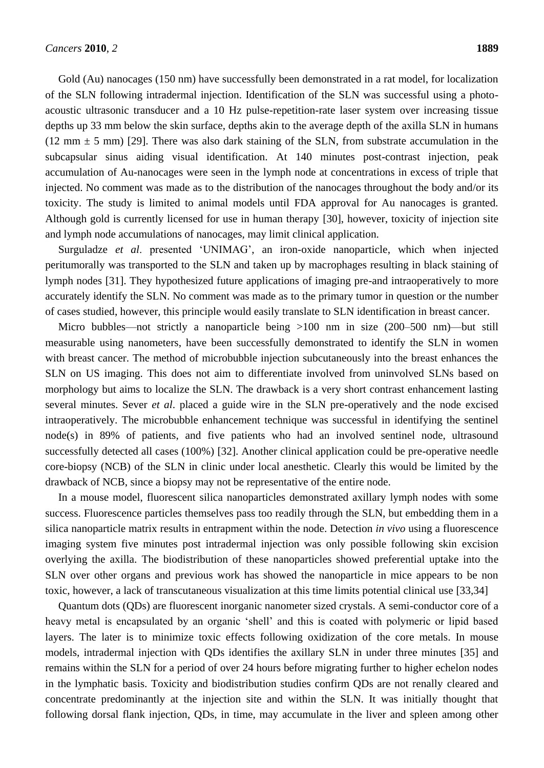Gold (Au) nanocages (150 nm) have successfully been demonstrated in a rat model, for localization of the SLN following intradermal injection. Identification of the SLN was successful using a photoacoustic ultrasonic transducer and a 10 Hz pulse-repetition-rate laser system over increasing tissue depths up 33 mm below the skin surface, depths akin to the average depth of the axilla SLN in humans (12 mm  $\pm$  5 mm) [29]. There was also dark staining of the SLN, from substrate accumulation in the subcapsular sinus aiding visual identification. At 140 minutes post-contrast injection, peak accumulation of Au-nanocages were seen in the lymph node at concentrations in excess of triple that injected. No comment was made as to the distribution of the nanocages throughout the body and/or its toxicity. The study is limited to animal models until FDA approval for Au nanocages is granted. Although gold is currently licensed for use in human therapy [30], however, toxicity of injection site and lymph node accumulations of nanocages, may limit clinical application.

Surguladze *et al*. presented 'UNIMAG', an iron-oxide nanoparticle, which when injected peritumorally was transported to the SLN and taken up by macrophages resulting in black staining of lymph nodes [31]. They hypothesized future applications of imaging pre-and intraoperatively to more accurately identify the SLN. No comment was made as to the primary tumor in question or the number of cases studied, however, this principle would easily translate to SLN identification in breast cancer.

Micro bubbles—not strictly a nanoparticle being >100 nm in size (200–500 nm)—but still measurable using nanometers, have been successfully demonstrated to identify the SLN in women with breast cancer. The method of microbubble injection subcutaneously into the breast enhances the SLN on US imaging. This does not aim to differentiate involved from uninvolved SLNs based on morphology but aims to localize the SLN. The drawback is a very short contrast enhancement lasting several minutes. Sever *et al*. placed a guide wire in the SLN pre-operatively and the node excised intraoperatively. The microbubble enhancement technique was successful in identifying the sentinel node(s) in 89% of patients, and five patients who had an involved sentinel node, ultrasound successfully detected all cases (100%) [32]. Another clinical application could be pre-operative needle core-biopsy (NCB) of the SLN in clinic under local anesthetic. Clearly this would be limited by the drawback of NCB, since a biopsy may not be representative of the entire node.

In a mouse model, fluorescent silica nanoparticles demonstrated axillary lymph nodes with some success. Fluorescence particles themselves pass too readily through the SLN, but embedding them in a silica nanoparticle matrix results in entrapment within the node. Detection *in vivo* using a fluorescence imaging system five minutes post intradermal injection was only possible following skin excision overlying the axilla. The biodistribution of these nanoparticles showed preferential uptake into the SLN over other organs and previous work has showed the nanoparticle in mice appears to be non toxic, however, a lack of transcutaneous visualization at this time limits potential clinical use [33,34]

Quantum dots (QDs) are fluorescent inorganic nanometer sized crystals. A semi-conductor core of a heavy metal is encapsulated by an organic 'shell' and this is coated with polymeric or lipid based layers. The later is to minimize toxic effects following oxidization of the core metals. In mouse models, intradermal injection with QDs identifies the axillary SLN in under three minutes [35] and remains within the SLN for a period of over 24 hours before migrating further to higher echelon nodes in the lymphatic basis. Toxicity and biodistribution studies confirm QDs are not renally cleared and concentrate predominantly at the injection site and within the SLN. It was initially thought that following dorsal flank injection, QDs, in time, may accumulate in the liver and spleen among other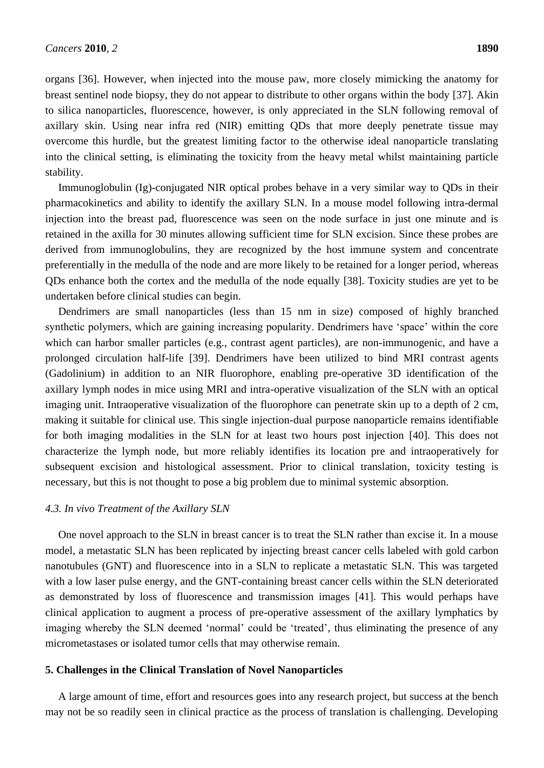organs [36]. However, when injected into the mouse paw, more closely mimicking the anatomy for breast sentinel node biopsy, they do not appear to distribute to other organs within the body [37]. Akin to silica nanoparticles, fluorescence, however, is only appreciated in the SLN following removal of axillary skin. Using near infra red (NIR) emitting QDs that more deeply penetrate tissue may overcome this hurdle, but the greatest limiting factor to the otherwise ideal nanoparticle translating into the clinical setting, is eliminating the toxicity from the heavy metal whilst maintaining particle stability.

Immunoglobulin (Ig)-conjugated NIR optical probes behave in a very similar way to QDs in their pharmacokinetics and ability to identify the axillary SLN. In a mouse model following intra-dermal injection into the breast pad, fluorescence was seen on the node surface in just one minute and is retained in the axilla for 30 minutes allowing sufficient time for SLN excision. Since these probes are derived from immunoglobulins, they are recognized by the host immune system and concentrate preferentially in the medulla of the node and are more likely to be retained for a longer period, whereas QDs enhance both the cortex and the medulla of the node equally [38]. Toxicity studies are yet to be undertaken before clinical studies can begin.

Dendrimers are small nanoparticles (less than 15 nm in size) composed of highly branched synthetic polymers, which are gaining increasing popularity. Dendrimers have 'space' within the core which can harbor smaller particles (e.g., contrast agent particles), are non-immunogenic, and have a prolonged circulation half-life [39]. Dendrimers have been utilized to bind MRI contrast agents (Gadolinium) in addition to an NIR fluorophore, enabling pre-operative 3D identification of the axillary lymph nodes in mice using MRI and intra-operative visualization of the SLN with an optical imaging unit. Intraoperative visualization of the fluorophore can penetrate skin up to a depth of 2 cm, making it suitable for clinical use. This single injection-dual purpose nanoparticle remains identifiable for both imaging modalities in the SLN for at least two hours post injection [40]. This does not characterize the lymph node, but more reliably identifies its location pre and intraoperatively for subsequent excision and histological assessment. Prior to clinical translation, toxicity testing is necessary, but this is not thought to pose a big problem due to minimal systemic absorption.

### *4.3. In vivo Treatment of the Axillary SLN*

One novel approach to the SLN in breast cancer is to treat the SLN rather than excise it. In a mouse model, a metastatic SLN has been replicated by injecting breast cancer cells labeled with gold carbon nanotubules (GNT) and fluorescence into in a SLN to replicate a metastatic SLN. This was targeted with a low laser pulse energy, and the GNT-containing breast cancer cells within the SLN deteriorated as demonstrated by loss of fluorescence and transmission images [41]. This would perhaps have clinical application to augment a process of pre-operative assessment of the axillary lymphatics by imaging whereby the SLN deemed 'normal' could be 'treated', thus eliminating the presence of any micrometastases or isolated tumor cells that may otherwise remain.

### **5. Challenges in the Clinical Translation of Novel Nanoparticles**

A large amount of time, effort and resources goes into any research project, but success at the bench may not be so readily seen in clinical practice as the process of translation is challenging. Developing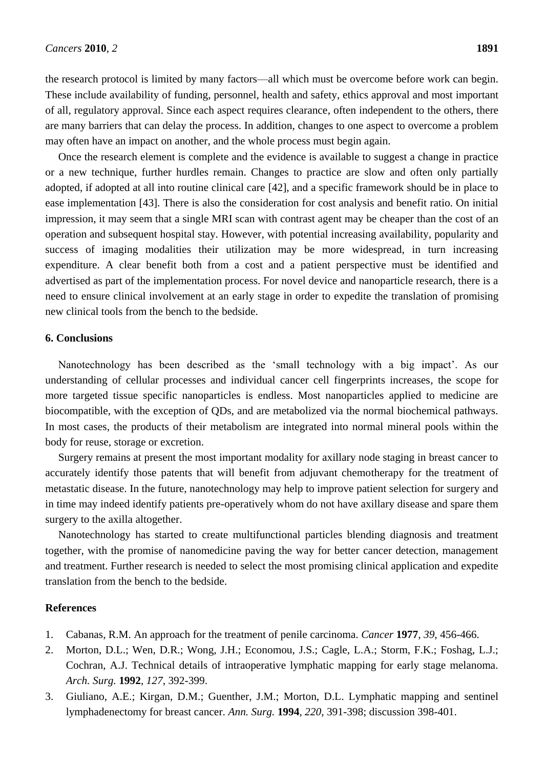the research protocol is limited by many factors—all which must be overcome before work can begin. These include availability of funding, personnel, health and safety, ethics approval and most important of all, regulatory approval. Since each aspect requires clearance, often independent to the others, there are many barriers that can delay the process. In addition, changes to one aspect to overcome a problem may often have an impact on another, and the whole process must begin again.

Once the research element is complete and the evidence is available to suggest a change in practice or a new technique, further hurdles remain. Changes to practice are slow and often only partially adopted, if adopted at all into routine clinical care [42], and a specific framework should be in place to ease implementation [43]. There is also the consideration for cost analysis and benefit ratio. On initial impression, it may seem that a single MRI scan with contrast agent may be cheaper than the cost of an operation and subsequent hospital stay. However, with potential increasing availability, popularity and success of imaging modalities their utilization may be more widespread, in turn increasing expenditure. A clear benefit both from a cost and a patient perspective must be identified and advertised as part of the implementation process. For novel device and nanoparticle research, there is a need to ensure clinical involvement at an early stage in order to expedite the translation of promising new clinical tools from the bench to the bedside.

## **6. Conclusions**

Nanotechnology has been described as the 'small technology with a big impact'. As our understanding of cellular processes and individual cancer cell fingerprints increases, the scope for more targeted tissue specific nanoparticles is endless. Most nanoparticles applied to medicine are biocompatible, with the exception of QDs, and are metabolized via the normal biochemical pathways. In most cases, the products of their metabolism are integrated into normal mineral pools within the body for reuse, storage or excretion.

Surgery remains at present the most important modality for axillary node staging in breast cancer to accurately identify those patents that will benefit from adjuvant chemotherapy for the treatment of metastatic disease. In the future, nanotechnology may help to improve patient selection for surgery and in time may indeed identify patients pre-operatively whom do not have axillary disease and spare them surgery to the axilla altogether.

Nanotechnology has started to create multifunctional particles blending diagnosis and treatment together, with the promise of nanomedicine paving the way for better cancer detection, management and treatment. Further research is needed to select the most promising clinical application and expedite translation from the bench to the bedside.

### **References**

- 1. Cabanas, R.M. An approach for the treatment of penile carcinoma. *Cancer* **1977**, *39*, 456-466.
- 2. Morton, D.L.; Wen, D.R.; Wong, J.H.; Economou, J.S.; Cagle, L.A.; Storm, F.K.; Foshag, L.J.; Cochran, A.J. Technical details of intraoperative lymphatic mapping for early stage melanoma. *Arch. Surg.* **1992**, *127*, 392-399.
- 3. Giuliano, A.E.; Kirgan, D.M.; Guenther, J.M.; Morton, D.L. Lymphatic mapping and sentinel lymphadenectomy for breast cancer. *Ann. Surg.* **1994**, *220*, 391-398; discussion 398-401.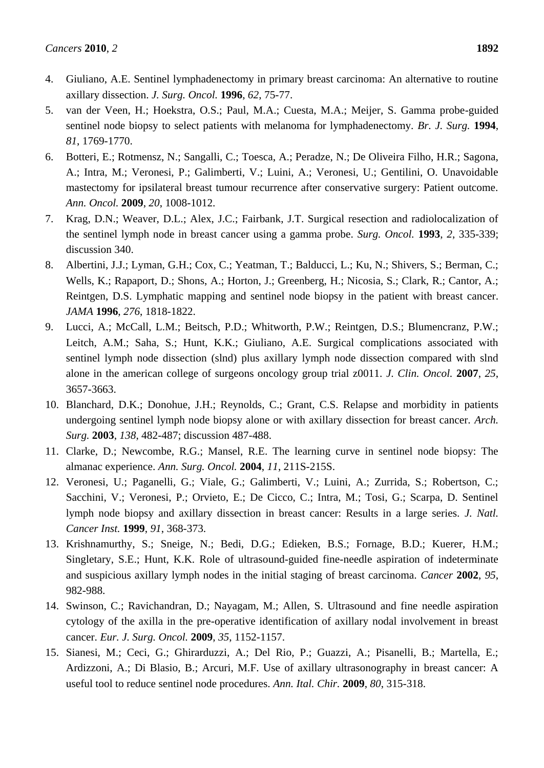- 4. Giuliano, A.E. Sentinel lymphadenectomy in primary breast carcinoma: An alternative to routine axillary dissection. *J. Surg. Oncol.* **1996**, *62*, 75-77.
- 5. van der Veen, H.; Hoekstra, O.S.; Paul, M.A.; Cuesta, M.A.; Meijer, S. Gamma probe-guided sentinel node biopsy to select patients with melanoma for lymphadenectomy. *Br. J. Surg.* **1994**, *81*, 1769-1770.
- 6. Botteri, E.; Rotmensz, N.; Sangalli, C.; Toesca, A.; Peradze, N.; De Oliveira Filho, H.R.; Sagona, A.; Intra, M.; Veronesi, P.; Galimberti, V.; Luini, A.; Veronesi, U.; Gentilini, O. Unavoidable mastectomy for ipsilateral breast tumour recurrence after conservative surgery: Patient outcome. *Ann. Oncol.* **2009**, *20*, 1008-1012.
- 7. Krag, D.N.; Weaver, D.L.; Alex, J.C.; Fairbank, J.T. Surgical resection and radiolocalization of the sentinel lymph node in breast cancer using a gamma probe. *Surg. Oncol.* **1993**, *2*, 335-339; discussion 340.
- 8. Albertini, J.J.; Lyman, G.H.; Cox, C.; Yeatman, T.; Balducci, L.; Ku, N.; Shivers, S.; Berman, C.; Wells, K.; Rapaport, D.; Shons, A.; Horton, J.; Greenberg, H.; Nicosia, S.; Clark, R.; Cantor, A.; Reintgen, D.S. Lymphatic mapping and sentinel node biopsy in the patient with breast cancer. *JAMA* **1996**, *276*, 1818-1822.
- 9. Lucci, A.; McCall, L.M.; Beitsch, P.D.; Whitworth, P.W.; Reintgen, D.S.; Blumencranz, P.W.; Leitch, A.M.; Saha, S.; Hunt, K.K.; Giuliano, A.E. Surgical complications associated with sentinel lymph node dissection (slnd) plus axillary lymph node dissection compared with slnd alone in the american college of surgeons oncology group trial z0011. *J. Clin. Oncol.* **2007**, *25*, 3657-3663.
- 10. Blanchard, D.K.; Donohue, J.H.; Reynolds, C.; Grant, C.S. Relapse and morbidity in patients undergoing sentinel lymph node biopsy alone or with axillary dissection for breast cancer. *Arch. Surg.* **2003**, *138*, 482-487; discussion 487-488.
- 11. Clarke, D.; Newcombe, R.G.; Mansel, R.E. The learning curve in sentinel node biopsy: The almanac experience. *Ann. Surg. Oncol.* **2004**, *11*, 211S-215S.
- 12. Veronesi, U.; Paganelli, G.; Viale, G.; Galimberti, V.; Luini, A.; Zurrida, S.; Robertson, C.; Sacchini, V.; Veronesi, P.; Orvieto, E.; De Cicco, C.; Intra, M.; Tosi, G.; Scarpa, D. Sentinel lymph node biopsy and axillary dissection in breast cancer: Results in a large series. *J. Natl. Cancer Inst.* **1999**, *91*, 368-373.
- 13. Krishnamurthy, S.; Sneige, N.; Bedi, D.G.; Edieken, B.S.; Fornage, B.D.; Kuerer, H.M.; Singletary, S.E.; Hunt, K.K. Role of ultrasound-guided fine-needle aspiration of indeterminate and suspicious axillary lymph nodes in the initial staging of breast carcinoma. *Cancer* **2002**, *95*, 982-988.
- 14. Swinson, C.; Ravichandran, D.; Nayagam, M.; Allen, S. Ultrasound and fine needle aspiration cytology of the axilla in the pre-operative identification of axillary nodal involvement in breast cancer. *Eur. J. Surg. Oncol.* **2009**, *35*, 1152-1157.
- 15. Sianesi, M.; Ceci, G.; Ghirarduzzi, A.; Del Rio, P.; Guazzi, A.; Pisanelli, B.; Martella, E.; Ardizzoni, A.; Di Blasio, B.; Arcuri, M.F. Use of axillary ultrasonography in breast cancer: A useful tool to reduce sentinel node procedures. *Ann. Ital. Chir.* **2009**, *80*, 315-318.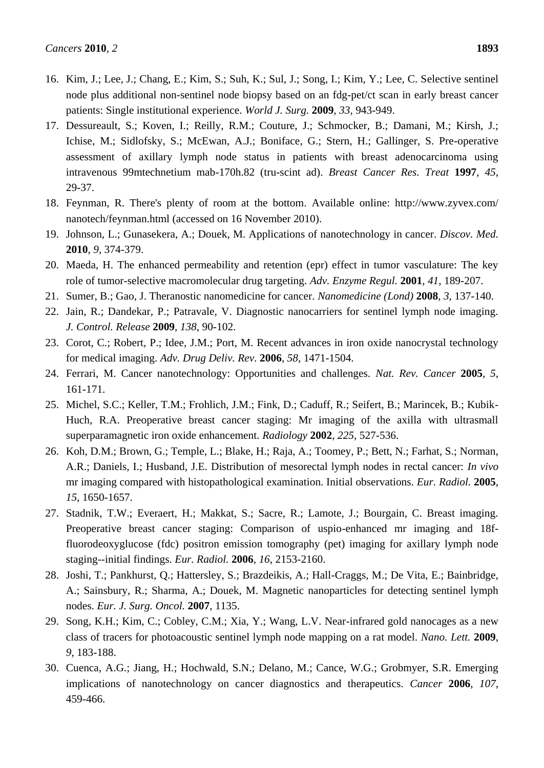- 16. Kim, J.; Lee, J.; Chang, E.; Kim, S.; Suh, K.; Sul, J.; Song, I.; Kim, Y.; Lee, C. Selective sentinel node plus additional non-sentinel node biopsy based on an fdg-pet/ct scan in early breast cancer patients: Single institutional experience. *World J. Surg.* **2009**, *33*, 943-949.
- 17. Dessureault, S.; Koven, I.; Reilly, R.M.; Couture, J.; Schmocker, B.; Damani, M.; Kirsh, J.; Ichise, M.; Sidlofsky, S.; McEwan, A.J.; Boniface, G.; Stern, H.; Gallinger, S. Pre-operative assessment of axillary lymph node status in patients with breast adenocarcinoma using intravenous 99mtechnetium mab-170h.82 (tru-scint ad). *Breast Cancer Res. Treat* **1997**, *45*, 29-37.
- 18. Feynman, R. There's plenty of room at the bottom. Available online: http://www.zyvex.com/ nanotech/feynman.html (accessed on 16 November 2010).
- 19. Johnson, L.; Gunasekera, A.; Douek, M. Applications of nanotechnology in cancer. *Discov. Med.* **2010**, *9*, 374-379.
- 20. Maeda, H. The enhanced permeability and retention (epr) effect in tumor vasculature: The key role of tumor-selective macromolecular drug targeting. *Adv. Enzyme Regul.* **2001**, *41*, 189-207.
- 21. Sumer, B.; Gao, J. Theranostic nanomedicine for cancer. *Nanomedicine (Lond)* **2008**, *3*, 137-140.
- 22. Jain, R.; Dandekar, P.; Patravale, V. Diagnostic nanocarriers for sentinel lymph node imaging. *J. Control. Release* **2009**, *138*, 90-102.
- 23. Corot, C.; Robert, P.; Idee, J.M.; Port, M. Recent advances in iron oxide nanocrystal technology for medical imaging. *Adv. Drug Deliv. Rev.* **2006**, *58*, 1471-1504.
- 24. Ferrari, M. Cancer nanotechnology: Opportunities and challenges. *Nat. Rev. Cancer* **2005**, *5*, 161-171.
- 25. Michel, S.C.; Keller, T.M.; Frohlich, J.M.; Fink, D.; Caduff, R.; Seifert, B.; Marincek, B.; Kubik-Huch, R.A. Preoperative breast cancer staging: Mr imaging of the axilla with ultrasmall superparamagnetic iron oxide enhancement. *Radiology* **2002**, *225*, 527-536.
- 26. Koh, D.M.; Brown, G.; Temple, L.; Blake, H.; Raja, A.; Toomey, P.; Bett, N.; Farhat, S.; Norman, A.R.; Daniels, I.; Husband, J.E. Distribution of mesorectal lymph nodes in rectal cancer: *In vivo* mr imaging compared with histopathological examination. Initial observations. *Eur. Radiol.* **2005**, *15*, 1650-1657.
- 27. Stadnik, T.W.; Everaert, H.; Makkat, S.; Sacre, R.; Lamote, J.; Bourgain, C. Breast imaging. Preoperative breast cancer staging: Comparison of uspio-enhanced mr imaging and 18ffluorodeoxyglucose (fdc) positron emission tomography (pet) imaging for axillary lymph node staging--initial findings. *Eur. Radiol.* **2006**, *16*, 2153-2160.
- 28. Joshi, T.; Pankhurst, Q.; Hattersley, S.; Brazdeikis, A.; Hall-Craggs, M.; De Vita, E.; Bainbridge, A.; Sainsbury, R.; Sharma, A.; Douek, M. Magnetic nanoparticles for detecting sentinel lymph nodes. *Eur. J. Surg. Oncol.* **2007**, 1135.
- 29. Song, K.H.; Kim, C.; Cobley, C.M.; Xia, Y.; Wang, L.V. Near-infrared gold nanocages as a new class of tracers for photoacoustic sentinel lymph node mapping on a rat model. *Nano. Lett.* **2009**, *9*, 183-188.
- 30. Cuenca, A.G.; Jiang, H.; Hochwald, S.N.; Delano, M.; Cance, W.G.; Grobmyer, S.R. Emerging implications of nanotechnology on cancer diagnostics and therapeutics. *Cancer* **2006**, *107*, 459-466.